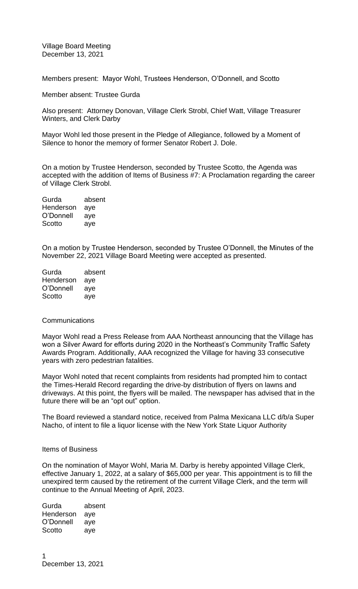Village Board Meeting December 13, 2021

Members present: Mayor Wohl, Trustees Henderson, O'Donnell, and Scotto

Member absent: Trustee Gurda

Also present: Attorney Donovan, Village Clerk Strobl, Chief Watt, Village Treasurer Winters, and Clerk Darby

Mayor Wohl led those present in the Pledge of Allegiance, followed by a Moment of Silence to honor the memory of former Senator Robert J. Dole.

On a motion by Trustee Henderson, seconded by Trustee Scotto, the Agenda was accepted with the addition of Items of Business #7: A Proclamation regarding the career of Village Clerk Strobl.

| Gurda     | absent |
|-----------|--------|
| Henderson | aye    |
| O'Donnell | aye    |
| Scotto    | aye    |
|           |        |

On a motion by Trustee Henderson, seconded by Trustee O'Donnell, the Minutes of the November 22, 2021 Village Board Meeting were accepted as presented.

| Gurda     | absent |
|-----------|--------|
| Henderson | aye    |
| O'Donnell | aye    |
| Scotto    | aye    |

## **Communications**

Mayor Wohl read a Press Release from AAA Northeast announcing that the Village has won a Silver Award for efforts during 2020 in the Northeast's Community Traffic Safety Awards Program. Additionally, AAA recognized the Village for having 33 consecutive years with zero pedestrian fatalities.

Mayor Wohl noted that recent complaints from residents had prompted him to contact the Times-Herald Record regarding the drive-by distribution of flyers on lawns and driveways. At this point, the flyers will be mailed. The newspaper has advised that in the future there will be an "opt out" option.

The Board reviewed a standard notice, received from Palma Mexicana LLC d/b/a Super Nacho, of intent to file a liquor license with the New York State Liquor Authority

#### Items of Business

On the nomination of Mayor Wohl, Maria M. Darby is hereby appointed Village Clerk, effective January 1, 2022, at a salary of \$65,000 per year. This appointment is to fill the unexpired term caused by the retirement of the current Village Clerk, and the term will continue to the Annual Meeting of April, 2023.

Gurda absent Henderson aye O'Donnell aye Scotto aye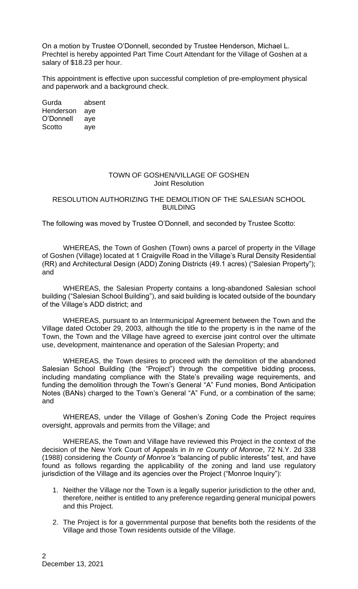On a motion by Trustee O'Donnell, seconded by Trustee Henderson, Michael L. Prechtel is hereby appointed Part Time Court Attendant for the Village of Goshen at a salary of \$18.23 per hour.

This appointment is effective upon successful completion of pre-employment physical and paperwork and a background check.

Gurda absent Henderson aye O'Donnell aye Scotto aye

# TOWN OF GOSHEN/VILLAGE OF GOSHEN Joint Resolution

# RESOLUTION AUTHORIZING THE DEMOLITION OF THE SALESIAN SCHOOL **BUILDING**

The following was moved by Trustee O'Donnell, and seconded by Trustee Scotto:

WHEREAS, the Town of Goshen (Town) owns a parcel of property in the Village of Goshen (Village) located at 1 Craigville Road in the Village's Rural Density Residential (RR) and Architectural Design (ADD) Zoning Districts (49.1 acres) ("Salesian Property"); and

WHEREAS, the Salesian Property contains a long-abandoned Salesian school building ("Salesian School Building"), and said building is located outside of the boundary of the Village's ADD district; and

WHEREAS, pursuant to an Intermunicipal Agreement between the Town and the Village dated October 29, 2003, although the title to the property is in the name of the Town, the Town and the Village have agreed to exercise joint control over the ultimate use, development, maintenance and operation of the Salesian Property; and

WHEREAS, the Town desires to proceed with the demolition of the abandoned Salesian School Building (the "Project") through the competitive bidding process, including mandating compliance with the State's prevailing wage requirements, and funding the demolition through the Town's General "A" Fund monies, Bond Anticipation Notes (BANs) charged to the Town's General "A" Fund, or a combination of the same; and

WHEREAS, under the Village of Goshen's Zoning Code the Project requires oversight, approvals and permits from the Village; and

WHEREAS, the Town and Village have reviewed this Project in the context of the decision of the New York Court of Appeals in *In re County of Monroe*, 72 N.Y. 2d 338 (1988) considering the *County of Monroe's* "balancing of public interests" test, and have found as follows regarding the applicability of the zoning and land use regulatory jurisdiction of the Village and its agencies over the Project ("Monroe Inquiry"):

- 1. Neither the Village nor the Town is a legally superior jurisdiction to the other and, therefore, neither is entitled to any preference regarding general municipal powers and this Project.
- 2. The Project is for a governmental purpose that benefits both the residents of the Village and those Town residents outside of the Village.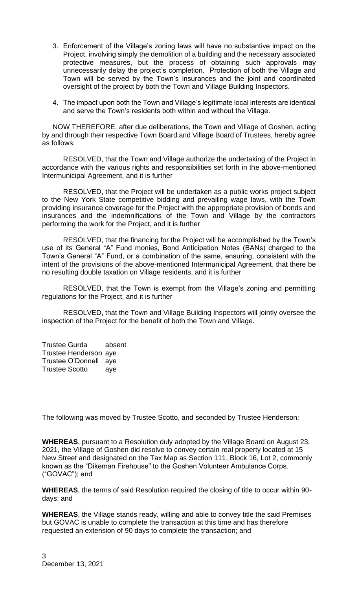- 3. Enforcement of the Village's zoning laws will have no substantive impact on the Project, involving simply the demolition of a building and the necessary associated protective measures, but the process of obtaining such approvals may unnecessarily delay the project's completion. Protection of both the Village and Town will be served by the Town's insurances and the joint and coordinated oversight of the project by both the Town and Village Building Inspectors.
- 4. The impact upon both the Town and Village's legitimate local interests are identical and serve the Town's residents both within and without the Village.

NOW THEREFORE, after due deliberations, the Town and Village of Goshen, acting by and through their respective Town Board and Village Board of Trustees, hereby agree as follows:

RESOLVED, that the Town and Village authorize the undertaking of the Project in accordance with the various rights and responsibilities set forth in the above-mentioned Intermunicipal Agreement, and it is further

RESOLVED, that the Project will be undertaken as a public works project subject to the New York State competitive bidding and prevailing wage laws, with the Town providing insurance coverage for the Project with the appropriate provision of bonds and insurances and the indemnifications of the Town and Village by the contractors performing the work for the Project, and it is further

RESOLVED, that the financing for the Project will be accomplished by the Town's use of its General "A" Fund monies, Bond Anticipation Notes (BANs) charged to the Town's General "A" Fund, or a combination of the same, ensuring, consistent with the intent of the provisions of the above-mentioned Intermunicipal Agreement, that there be no resulting double taxation on Village residents, and it is further

RESOLVED, that the Town is exempt from the Village's zoning and permitting regulations for the Project, and it is further

RESOLVED, that the Town and Village Building Inspectors will jointly oversee the inspection of the Project for the benefit of both the Town and Village.

Trustee Gurda absent Trustee Henderson aye Trustee O'Donnell aye Trustee Scotto aye

The following was moved by Trustee Scotto, and seconded by Trustee Henderson:

**WHEREAS**, pursuant to a Resolution duly adopted by the Village Board on August 23, 2021, the Village of Goshen did resolve to convey certain real property located at 15 New Street and designated on the Tax Map as Section 111, Block 16, Lot 2, commonly known as the "Dikeman Firehouse" to the Goshen Volunteer Ambulance Corps. ("GOVAC"); and

**WHEREAS**, the terms of said Resolution required the closing of title to occur within 90 days; and

**WHEREAS**, the Village stands ready, willing and able to convey title the said Premises but GOVAC is unable to complete the transaction at this time and has therefore requested an extension of 90 days to complete the transaction; and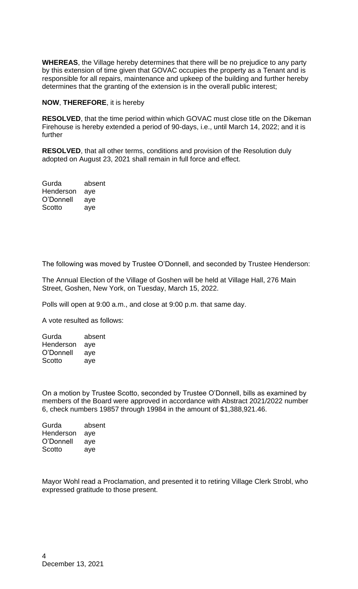**WHEREAS**, the Village hereby determines that there will be no prejudice to any party by this extension of time given that GOVAC occupies the property as a Tenant and is responsible for all repairs, maintenance and upkeep of the building and further hereby determines that the granting of the extension is in the overall public interest;

## **NOW**, **THEREFORE**, it is hereby

**RESOLVED**, that the time period within which GOVAC must close title on the Dikeman Firehouse is hereby extended a period of 90-days, i.e., until March 14, 2022; and it is further

**RESOLVED**, that all other terms, conditions and provision of the Resolution duly adopted on August 23, 2021 shall remain in full force and effect.

| absent |
|--------|
| aye    |
| aye    |
| aye    |
|        |

The following was moved by Trustee O'Donnell, and seconded by Trustee Henderson:

The Annual Election of the Village of Goshen will be held at Village Hall, 276 Main Street, Goshen, New York, on Tuesday, March 15, 2022.

Polls will open at 9:00 a.m., and close at 9:00 p.m. that same day.

A vote resulted as follows:

| Gurda     | absent |
|-----------|--------|
| Henderson | aye    |
| O'Donnell | aye    |
| Scotto    | ave    |

On a motion by Trustee Scotto, seconded by Trustee O'Donnell, bills as examined by members of the Board were approved in accordance with Abstract 2021/2022 number 6, check numbers 19857 through 19984 in the amount of \$1,388,921.46.

| Gurda     | absent |
|-----------|--------|
| Henderson | aye    |
| O'Donnell | aye    |
| Scotto    | aye    |
|           |        |

Mayor Wohl read a Proclamation, and presented it to retiring Village Clerk Strobl, who expressed gratitude to those present.